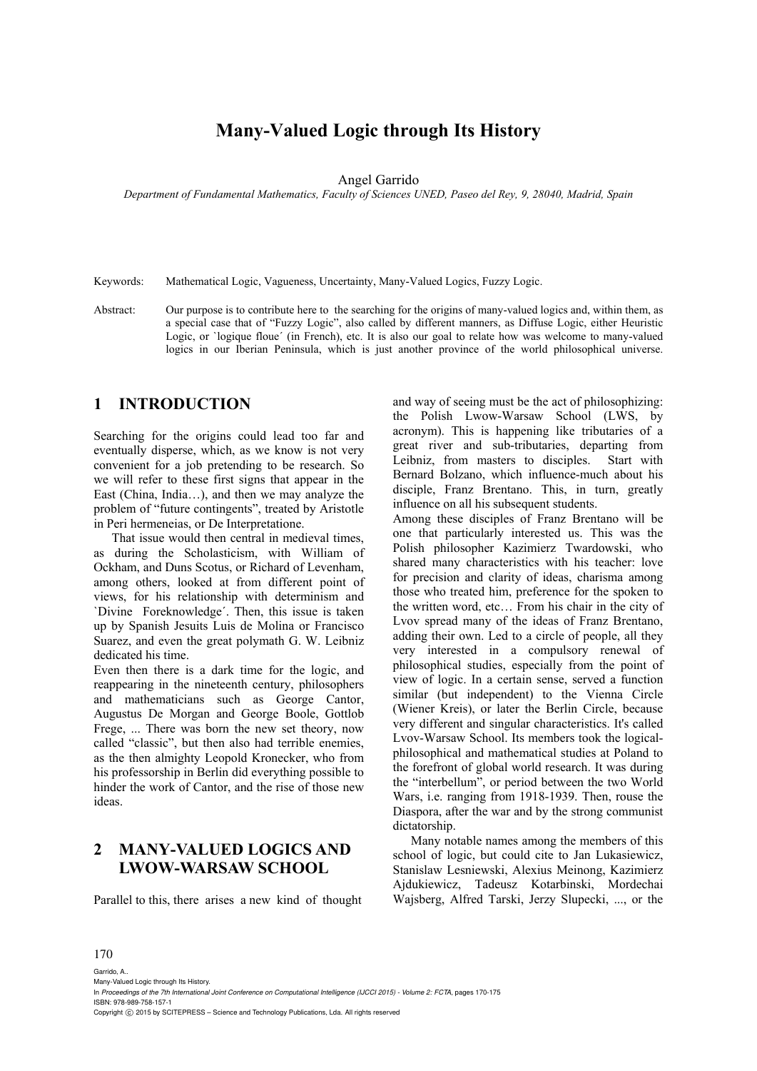# **Many-Valued Logic through Its History**

Angel Garrido

*Department of Fundamental Mathematics, Faculty of Sciences UNED, Paseo del Rey, 9, 28040, Madrid, Spain* 

Keywords: Mathematical Logic, Vagueness, Uncertainty, Many-Valued Logics, Fuzzy Logic.

Abstract: Our purpose is to contribute here to the searching for the origins of many-valued logics and, within them, as a special case that of "Fuzzy Logic", also called by different manners, as Diffuse Logic, either Heuristic Logic, or `logique floue' (in French), etc. It is also our goal to relate how was welcome to many-valued logics in our Iberian Peninsula, which is just another province of the world philosophical universe.

### **1 INTRODUCTION**

Searching for the origins could lead too far and eventually disperse, which, as we know is not very convenient for a job pretending to be research. So we will refer to these first signs that appear in the East (China, India…), and then we may analyze the problem of "future contingents", treated by Aristotle in Peri hermeneias, or De Interpretatione.

That issue would then central in medieval times, as during the Scholasticism, with William of Ockham, and Duns Scotus, or Richard of Levenham, among others, looked at from different point of views, for his relationship with determinism and `Divine Foreknowledge´. Then, this issue is taken up by Spanish Jesuits Luis de Molina or Francisco Suarez, and even the great polymath G. W. Leibniz dedicated his time.

Even then there is a dark time for the logic, and reappearing in the nineteenth century, philosophers and mathematicians such as George Cantor, Augustus De Morgan and George Boole, Gottlob Frege, ... There was born the new set theory, now called "classic", but then also had terrible enemies, as the then almighty Leopold Kronecker, who from his professorship in Berlin did everything possible to hinder the work of Cantor, and the rise of those new ideas.

# **2 MANY-VALUED LOGICS AND LWOW-WARSAW SCHOOL**

Parallel to this, there arises a new kind of thought

and way of seeing must be the act of philosophizing: the Polish Lwow-Warsaw School (LWS, by acronym). This is happening like tributaries of a great river and sub-tributaries, departing from Leibniz, from masters to disciples. Start with Bernard Bolzano, which influence-much about his disciple, Franz Brentano. This, in turn, greatly influence on all his subsequent students.

Among these disciples of Franz Brentano will be one that particularly interested us. This was the Polish philosopher Kazimierz Twardowski, who shared many characteristics with his teacher: love for precision and clarity of ideas, charisma among those who treated him, preference for the spoken to the written word, etc… From his chair in the city of Lvov spread many of the ideas of Franz Brentano, adding their own. Led to a circle of people, all they very interested in a compulsory renewal of philosophical studies, especially from the point of view of logic. In a certain sense, served a function similar (but independent) to the Vienna Circle (Wiener Kreis), or later the Berlin Circle, because very different and singular characteristics. It's called Lvov-Warsaw School. Its members took the logicalphilosophical and mathematical studies at Poland to the forefront of global world research. It was during the "interbellum", or period between the two World Wars, i.e. ranging from 1918-1939. Then, rouse the Diaspora, after the war and by the strong communist dictatorship.

Many notable names among the members of this school of logic, but could cite to Jan Lukasiewicz, Stanislaw Lesniewski, Alexius Meinong, Kazimierz Ajdukiewicz, Tadeusz Kotarbinski, Mordechai Wajsberg, Alfred Tarski, Jerzy Slupecki, ..., or the

#### 170

Garrido, A.. Many-Valued Logic through Its History. In *Proceedings of the 7th International Joint Conference on Computational Intelligence (IJCCI 2015) - Volume 2: FCTA*, pages 170-175 ISBN: 978-989-758-157-1 Copyright C 2015 by SCITEPRESS - Science and Technology Publications, Lda. All rights reserved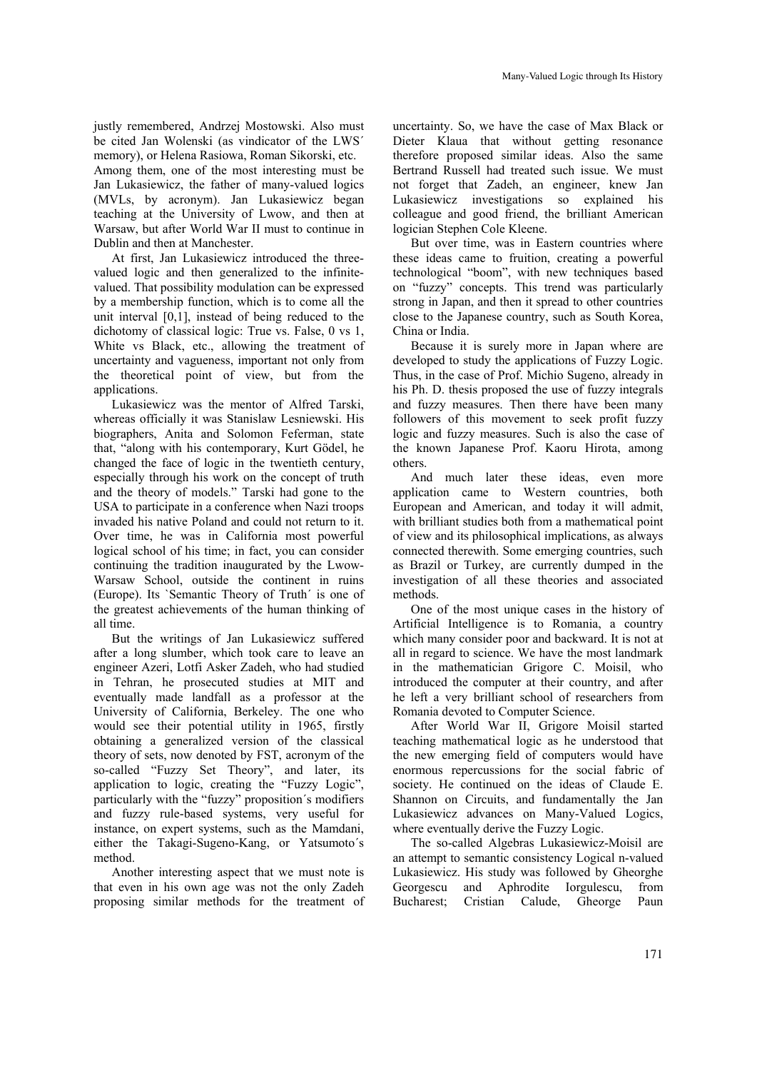justly remembered, Andrzej Mostowski. Also must be cited Jan Wolenski (as vindicator of the LWS´ memory), or Helena Rasiowa, Roman Sikorski, etc. Among them, one of the most interesting must be Jan Lukasiewicz, the father of many-valued logics (MVLs, by acronym). Jan Lukasiewicz began

teaching at the University of Lwow, and then at Warsaw, but after World War II must to continue in Dublin and then at Manchester.

At first, Jan Lukasiewicz introduced the threevalued logic and then generalized to the infinitevalued. That possibility modulation can be expressed by a membership function, which is to come all the unit interval [0,1], instead of being reduced to the dichotomy of classical logic: True vs. False, 0 vs 1, White vs Black, etc., allowing the treatment of uncertainty and vagueness, important not only from the theoretical point of view, but from the applications.

Lukasiewicz was the mentor of Alfred Tarski, whereas officially it was Stanislaw Lesniewski. His biographers, Anita and Solomon Feferman, state that, "along with his contemporary, Kurt Gödel, he changed the face of logic in the twentieth century, especially through his work on the concept of truth and the theory of models." Tarski had gone to the USA to participate in a conference when Nazi troops invaded his native Poland and could not return to it. Over time, he was in California most powerful logical school of his time; in fact, you can consider continuing the tradition inaugurated by the Lwow-Warsaw School, outside the continent in ruins (Europe). Its `Semantic Theory of Truth´ is one of the greatest achievements of the human thinking of all time.

But the writings of Jan Lukasiewicz suffered after a long slumber, which took care to leave an engineer Azeri, Lotfi Asker Zadeh, who had studied in Tehran, he prosecuted studies at MIT and eventually made landfall as a professor at the University of California, Berkeley. The one who would see their potential utility in 1965, firstly obtaining a generalized version of the classical theory of sets, now denoted by FST, acronym of the so-called "Fuzzy Set Theory", and later, its application to logic, creating the "Fuzzy Logic", particularly with the "fuzzy" proposition´s modifiers and fuzzy rule-based systems, very useful for instance, on expert systems, such as the Mamdani, either the Takagi-Sugeno-Kang, or Yatsumoto´s method.

Another interesting aspect that we must note is that even in his own age was not the only Zadeh proposing similar methods for the treatment of

uncertainty. So, we have the case of Max Black or Dieter Klaua that without getting resonance therefore proposed similar ideas. Also the same Bertrand Russell had treated such issue. We must not forget that Zadeh, an engineer, knew Jan Lukasiewicz investigations so explained his colleague and good friend, the brilliant American logician Stephen Cole Kleene.

But over time, was in Eastern countries where these ideas came to fruition, creating a powerful technological "boom", with new techniques based on "fuzzy" concepts. This trend was particularly strong in Japan, and then it spread to other countries close to the Japanese country, such as South Korea, China or India.

Because it is surely more in Japan where are developed to study the applications of Fuzzy Logic. Thus, in the case of Prof. Michio Sugeno, already in his Ph. D. thesis proposed the use of fuzzy integrals and fuzzy measures. Then there have been many followers of this movement to seek profit fuzzy logic and fuzzy measures. Such is also the case of the known Japanese Prof. Kaoru Hirota, among others.

And much later these ideas, even more application came to Western countries, both European and American, and today it will admit, with brilliant studies both from a mathematical point of view and its philosophical implications, as always connected therewith. Some emerging countries, such as Brazil or Turkey, are currently dumped in the investigation of all these theories and associated methods.

One of the most unique cases in the history of Artificial Intelligence is to Romania, a country which many consider poor and backward. It is not at all in regard to science. We have the most landmark in the mathematician Grigore C. Moisil, who introduced the computer at their country, and after he left a very brilliant school of researchers from Romania devoted to Computer Science.

After World War II, Grigore Moisil started teaching mathematical logic as he understood that the new emerging field of computers would have enormous repercussions for the social fabric of society. He continued on the ideas of Claude E. Shannon on Circuits, and fundamentally the Jan Lukasiewicz advances on Many-Valued Logics, where eventually derive the Fuzzy Logic.

The so-called Algebras Lukasiewicz-Moisil are an attempt to semantic consistency Logical n-valued Lukasiewicz. His study was followed by Gheorghe Georgescu and Aphrodite Iorgulescu, from Bucharest; Cristian Calude, Gheorge Paun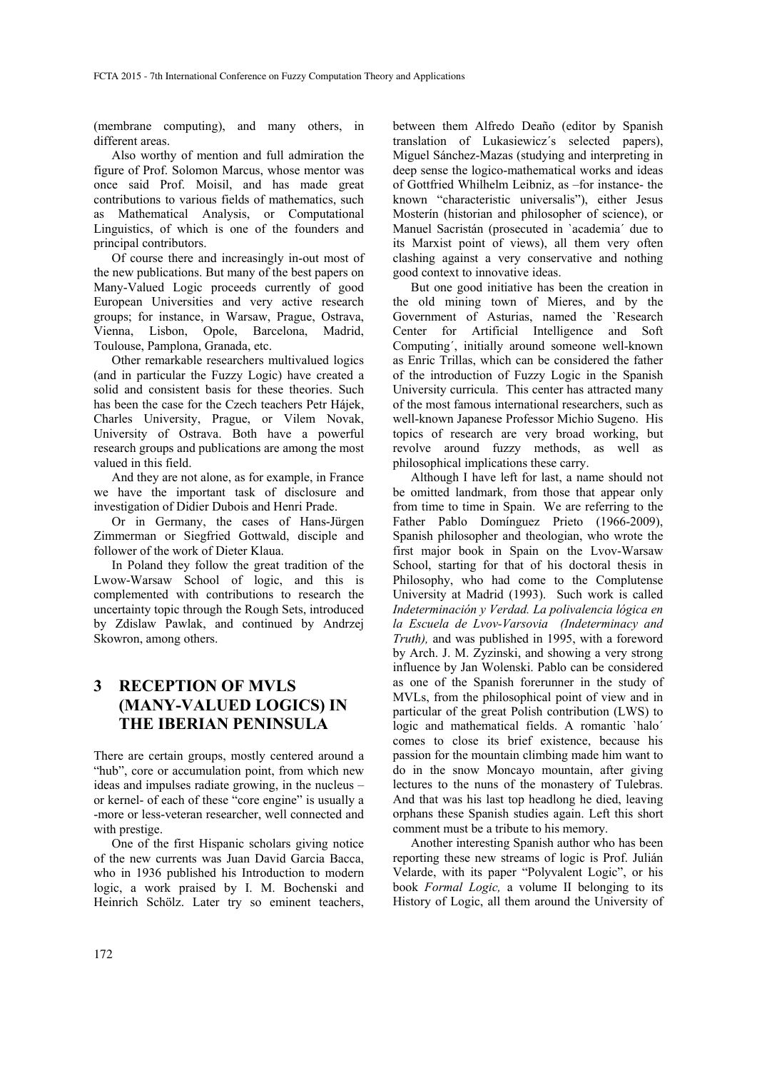(membrane computing), and many others, in different areas.

Also worthy of mention and full admiration the figure of Prof. Solomon Marcus, whose mentor was once said Prof. Moisil, and has made great contributions to various fields of mathematics, such as Mathematical Analysis, or Computational Linguistics, of which is one of the founders and principal contributors.

Of course there and increasingly in-out most of the new publications. But many of the best papers on Many-Valued Logic proceeds currently of good European Universities and very active research groups; for instance, in Warsaw, Prague, Ostrava, Vienna, Lisbon, Opole, Barcelona, Madrid, Toulouse, Pamplona, Granada, etc.

Other remarkable researchers multivalued logics (and in particular the Fuzzy Logic) have created a solid and consistent basis for these theories. Such has been the case for the Czech teachers Petr Hájek, Charles University, Prague, or Vilem Novak, University of Ostrava. Both have a powerful research groups and publications are among the most valued in this field.

And they are not alone, as for example, in France we have the important task of disclosure and investigation of Didier Dubois and Henri Prade.

Or in Germany, the cases of Hans-Jürgen Zimmerman or Siegfried Gottwald, disciple and follower of the work of Dieter Klaua.

In Poland they follow the great tradition of the Lwow-Warsaw School of logic, and this is complemented with contributions to research the uncertainty topic through the Rough Sets, introduced by Zdislaw Pawlak, and continued by Andrzej Skowron, among others.

# **3 RECEPTION OF MVLS (MANY-VALUED LOGICS) IN THE IBERIAN PENINSULA**

There are certain groups, mostly centered around a "hub", core or accumulation point, from which new ideas and impulses radiate growing, in the nucleus – or kernel- of each of these "core engine" is usually a -more or less-veteran researcher, well connected and with prestige.

One of the first Hispanic scholars giving notice of the new currents was Juan David Garcia Bacca, who in 1936 published his Introduction to modern logic, a work praised by I. M. Bochenski and Heinrich Schölz. Later try so eminent teachers,

between them Alfredo Deaño (editor by Spanish translation of Lukasiewicz´s selected papers), Miguel Sánchez-Mazas (studying and interpreting in deep sense the logico-mathematical works and ideas of Gottfried Whilhelm Leibniz, as –for instance- the known "characteristic universalis"), either Jesus Mosterín (historian and philosopher of science), or Manuel Sacristán (prosecuted in `academia´ due to its Marxist point of views), all them very often clashing against a very conservative and nothing good context to innovative ideas.

But one good initiative has been the creation in the old mining town of Mieres, and by the Government of Asturias, named the `Research Center for Artificial Intelligence and Soft Computing´, initially around someone well-known as Enric Trillas, which can be considered the father of the introduction of Fuzzy Logic in the Spanish University curricula. This center has attracted many of the most famous international researchers, such as well-known Japanese Professor Michio Sugeno. His topics of research are very broad working, but revolve around fuzzy methods, as well as philosophical implications these carry.

Although I have left for last, a name should not be omitted landmark, from those that appear only from time to time in Spain. We are referring to the Father Pablo Domínguez Prieto (1966-2009), Spanish philosopher and theologian, who wrote the first major book in Spain on the Lvov-Warsaw School, starting for that of his doctoral thesis in Philosophy, who had come to the Complutense University at Madrid (1993). Such work is called *Indeterminación y Verdad. La polivalencia lógica en la Escuela de Lvov-Varsovia (Indeterminacy and Truth),* and was published in 1995, with a foreword by Arch. J. M. Zyzinski, and showing a very strong influence by Jan Wolenski. Pablo can be considered as one of the Spanish forerunner in the study of MVLs, from the philosophical point of view and in particular of the great Polish contribution (LWS) to logic and mathematical fields. A romantic `halo´ comes to close its brief existence, because his passion for the mountain climbing made him want to do in the snow Moncayo mountain, after giving lectures to the nuns of the monastery of Tulebras. And that was his last top headlong he died, leaving orphans these Spanish studies again. Left this short comment must be a tribute to his memory.

Another interesting Spanish author who has been reporting these new streams of logic is Prof. Julián Velarde, with its paper "Polyvalent Logic", or his book *Formal Logic,* a volume II belonging to its History of Logic, all them around the University of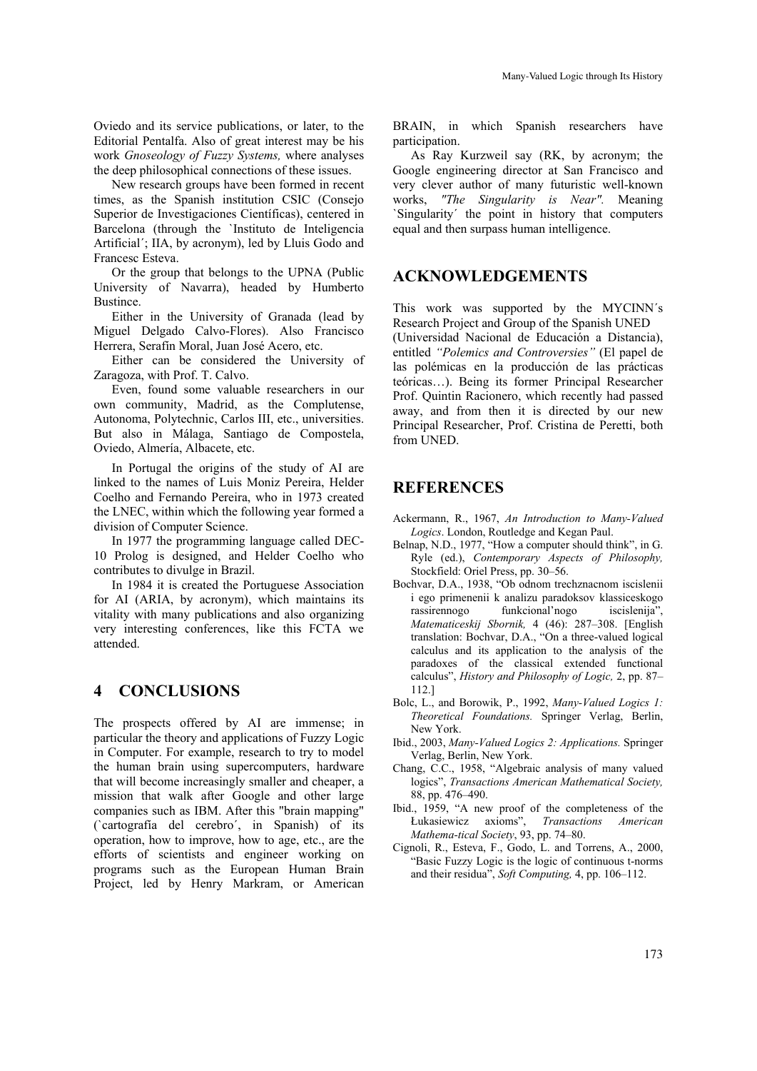Oviedo and its service publications, or later, to the Editorial Pentalfa. Also of great interest may be his work *Gnoseology of Fuzzy Systems,* where analyses the deep philosophical connections of these issues.

New research groups have been formed in recent times, as the Spanish institution CSIC (Consejo Superior de Investigaciones Científicas), centered in Barcelona (through the `Instituto de Inteligencia Artificial´; IIA, by acronym), led by Lluis Godo and Francesc Esteva.

Or the group that belongs to the UPNA (Public University of Navarra), headed by Humberto Bustince.

Either in the University of Granada (lead by Miguel Delgado Calvo-Flores). Also Francisco Herrera, Serafín Moral, Juan José Acero, etc.

Either can be considered the University of Zaragoza, with Prof. T. Calvo.

Even, found some valuable researchers in our own community, Madrid, as the Complutense, Autonoma, Polytechnic, Carlos III, etc., universities. But also in Málaga, Santiago de Compostela, Oviedo, Almería, Albacete, etc.

In Portugal the origins of the study of AI are linked to the names of Luis Moniz Pereira, Helder Coelho and Fernando Pereira, who in 1973 created the LNEC, within which the following year formed a division of Computer Science.

In 1977 the programming language called DEC-10 Prolog is designed, and Helder Coelho who contributes to divulge in Brazil.

In 1984 it is created the Portuguese Association for AI (ARIA, by acronym), which maintains its vitality with many publications and also organizing very interesting conferences, like this FCTA we attended.

### **4 CONCLUSIONS**

The prospects offered by AI are immense; in particular the theory and applications of Fuzzy Logic in Computer. For example, research to try to model the human brain using supercomputers, hardware that will become increasingly smaller and cheaper, a mission that walk after Google and other large companies such as IBM. After this "brain mapping" (`cartografía del cerebro´, in Spanish) of its operation, how to improve, how to age, etc., are the efforts of scientists and engineer working on programs such as the European Human Brain Project, led by Henry Markram, or American

BRAIN, in which Spanish researchers have participation.

As Ray Kurzweil say (RK, by acronym; the Google engineering director at San Francisco and very clever author of many futuristic well-known works, *"The Singularity is Near".* Meaning `Singularity´ the point in history that computers equal and then surpass human intelligence.

## **ACKNOWLEDGEMENTS**

This work was supported by the MYCINN´s Research Project and Group of the Spanish UNED (Universidad Nacional de Educación a Distancia), entitled *"Polemics and Controversies"* (El papel de las polémicas en la producción de las prácticas teóricas…). Being its former Principal Researcher Prof. Quintin Racionero, which recently had passed away, and from then it is directed by our new Principal Researcher, Prof. Cristina de Peretti, both from UNED.

## **REFERENCES**

- Ackermann, R., 1967, *An Introduction to Many-Valued Logics*. London, Routledge and Kegan Paul.
- Belnap, N.D., 1977, "How a computer should think", in G. Ryle (ed.), *Contemporary Aspects of Philosophy,* Stockfield: Oriel Press, pp. 30–56.
- Bochvar, D.A., 1938, "Ob odnom trechznacnom iscislenii i ego primenenii k analizu paradoksov klassiceskogo rassirennogo funkcional'nogo iscislenija", *Matematiceskij Sbornik,* 4 (46): 287–308. [English translation: Bochvar, D.A., "On a three-valued logical calculus and its application to the analysis of the paradoxes of the classical extended functional calculus", *History and Philosophy of Logic,* 2, pp. 87– 112.]
- Bolc, L., and Borowik, P., 1992, *Many-Valued Logics 1: Theoretical Foundations.* Springer Verlag, Berlin, New York.
- Ibid., 2003, *Many-Valued Logics 2: Applications.* Springer Verlag, Berlin, New York.
- Chang, C.C., 1958, "Algebraic analysis of many valued logics", *Transactions American Mathematical Society,* 88, pp. 476–490.
- Ibid., 1959, "A new proof of the completeness of the Łukasiewicz axioms", *Transactions American Mathema-tical Society*, 93, pp. 74–80.
- Cignoli, R., Esteva, F., Godo, L. and Torrens, A., 2000, "Basic Fuzzy Logic is the logic of continuous t-norms and their residua", *Soft Computing,* 4, pp. 106–112.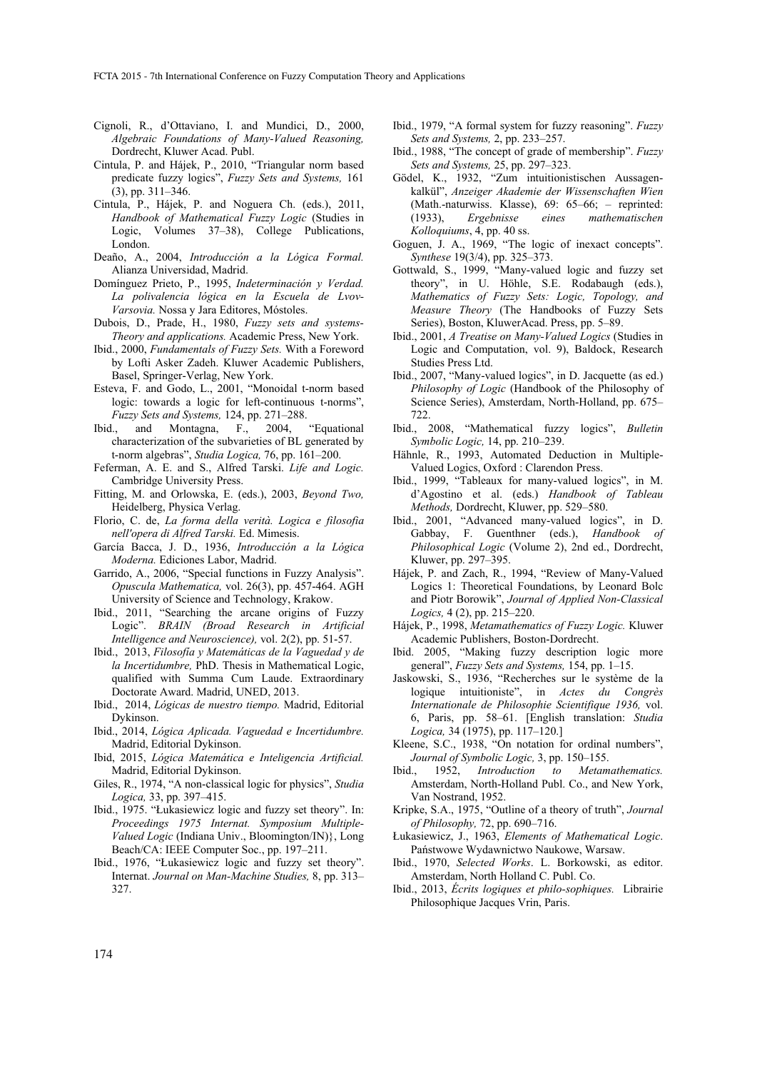- Cignoli, R., d'Ottaviano, I. and Mundici, D., 2000, *Algebraic Foundations of Many-Valued Reasoning,*  Dordrecht, Kluwer Acad. Publ.
- Cintula, P. and Hájek, P., 2010, "Triangular norm based predicate fuzzy logics", *Fuzzy Sets and Systems,* 161 (3), pp. 311–346.
- Cintula, P., Hájek, P. and Noguera Ch. (eds.), 2011, *Handbook of Mathematical Fuzzy Logic* (Studies in Logic, Volumes 37–38), College Publications, London.
- Deaño, A., 2004, *Introducción a la Lógica Formal.* Alianza Universidad, Madrid.
- Domínguez Prieto, P., 1995, *Indeterminación y Verdad. La polivalencia lógica en la Escuela de Lvov-Varsovia.* Nossa y Jara Editores, Móstoles.
- Dubois, D., Prade, H., 1980, *Fuzzy sets and systems-Theory and applications.* Academic Press, New York.
- Ibid., 2000, *Fundamentals of Fuzzy Sets.* With a Foreword by Lofti Asker Zadeh. Kluwer Academic Publishers, Basel, Springer-Verlag, New York.
- Esteva, F. and Godo, L., 2001, "Monoidal t-norm based logic: towards a logic for left-continuous t-norms", *Fuzzy Sets and Systems,* 124, pp. 271–288.
- Ibid., and Montagna, F., 2004, "Equational characterization of the subvarieties of BL generated by t-norm algebras", *Studia Logica,* 76, pp. 161–200.
- Feferman, A. E. and S., Alfred Tarski. *Life and Logic.* Cambridge University Press.
- Fitting, M. and Orlowska, E. (eds.), 2003, *Beyond Two,* Heidelberg, Physica Verlag.
- Florio, C. de, *La forma della verità. Logica e filosofia nell'opera di Alfred Tarski.* Ed. Mimesis.
- García Bacca, J. D., 1936, *Introducción a la Lógica Moderna.* Ediciones Labor, Madrid.
- Garrido, A., 2006, "Special functions in Fuzzy Analysis". *Opuscula Mathematica,* vol. 26(3), pp. 457-464. AGH University of Science and Technology, Krakow.
- Ibid., 2011, "Searching the arcane origins of Fuzzy Logic". *BRAIN (Broad Research in Artificial Intelligence and Neuroscience),* vol. 2(2), pp. 51-57.
- Ibid., 2013, *Filosofía y Matemáticas de la Vaguedad y de la Incertidumbre,* PhD. Thesis in Mathematical Logic, qualified with Summa Cum Laude. Extraordinary Doctorate Award. Madrid, UNED, 2013.
- Ibid., 2014, *Lógicas de nuestro tiempo.* Madrid, Editorial Dykinson.
- Ibid., 2014, *Lógica Aplicada. Vaguedad e Incertidumbre.* Madrid, Editorial Dykinson.
- Ibid, 2015, *Lógica Matemática e Inteligencia Artificial.* Madrid, Editorial Dykinson.
- Giles, R., 1974, "A non-classical logic for physics", *Studia Logica,* 33, pp. 397–415.
- Ibid., 1975. "Łukasiewicz logic and fuzzy set theory". In: *Proceedings 1975 Internat. Symposium Multiple-Valued Logic* (Indiana Univ., Bloomington/IN)}, Long Beach/CA: IEEE Computer Soc., pp. 197–211.
- Ibid., 1976, "Łukasiewicz logic and fuzzy set theory". Internat. *Journal on Man-Machine Studies,* 8, pp. 313– 327.
- Ibid., 1979, "A formal system for fuzzy reasoning". *Fuzzy Sets and Systems,* 2, pp. 233–257.
- Ibid., 1988, "The concept of grade of membership". *Fuzzy Sets and Systems,* 25, pp. 297–323.
- Gödel, K., 1932, "Zum intuitionistischen Aussagenkalkül", *Anzeiger Akademie der Wissenschaften Wien*  (Math.-naturwiss. Klasse), 69: 65–66; – reprinted: (1933), *Ergebnisse eines mathematischen Kolloquiums*, 4, pp. 40 ss.
- Goguen, J. A., 1969, "The logic of inexact concepts". *Synthese* 19(3/4), pp. 325–373.
- Gottwald, S., 1999, "Many-valued logic and fuzzy set theory", in U. Höhle, S.E. Rodabaugh (eds.), *Mathematics of Fuzzy Sets: Logic, Topology, and Measure Theory* (The Handbooks of Fuzzy Sets Series), Boston, KluwerAcad. Press, pp. 5–89.
- Ibid., 2001, *A Treatise on Many-Valued Logics* (Studies in Logic and Computation, vol. 9), Baldock, Research Studies Press Ltd.
- Ibid., 2007, "Many-valued logics", in D. Jacquette (as ed.) *Philosophy of Logic* (Handbook of the Philosophy of Science Series), Amsterdam, North-Holland, pp. 675– 722.
- Ibid., 2008, "Mathematical fuzzy logics", *Bulletin Symbolic Logic,* 14, pp. 210–239.
- Hähnle, R., 1993, Automated Deduction in Multiple-Valued Logics, Oxford : Clarendon Press.
- Ibid., 1999, "Tableaux for many-valued logics", in M. d'Agostino et al. (eds.) *Handbook of Tableau Methods,* Dordrecht, Kluwer, pp. 529–580.
- Ibid., 2001, "Advanced many-valued logics", in D. Gabbay, F. Guenthner (eds.), *Handbook of Philosophical Logic* (Volume 2), 2nd ed., Dordrecht, Kluwer, pp. 297–395.
- Hájek, P. and Zach, R., 1994, "Review of Many-Valued Logics 1: Theoretical Foundations, by Leonard Bolc and Piotr Borowik", *Journal of Applied Non-Classical Logics,* 4 (2), pp. 215–220.
- Hájek, P., 1998, *Metamathematics of Fuzzy Logic.* Kluwer Academic Publishers, Boston-Dordrecht.
- Ibid. 2005, "Making fuzzy description logic more general", *Fuzzy Sets and Systems,* 154, pp. 1–15.
- Jaskowski, S., 1936, "Recherches sur le système de la logique intuitioniste", in *Actes du Congrès Internationale de Philosophie Scientifique 1936,* vol. 6, Paris, pp. 58–61. [English translation: *Studia Logica,* 34 (1975), pp. 117–120.]
- Kleene, S.C., 1938, "On notation for ordinal numbers", *Journal of Symbolic Logic,* 3, pp. 150–155.
- Ibid., 1952, *Introduction to Metamathematics.* Amsterdam, North-Holland Publ. Co., and New York, Van Nostrand, 1952.
- Kripke, S.A., 1975, "Outline of a theory of truth", *Journal of Philosophy,* 72, pp. 690–716.
- Łukasiewicz, J., 1963, *Elements of Mathematical Logic*. Państwowe Wydawnictwo Naukowe, Warsaw.
- Ibid., 1970, *Selected Works*. L. Borkowski, as editor. Amsterdam, North Holland C. Publ. Co.
- Ibid., 2013, *Écrits logiques et philo-sophiques.* Librairie Philosophique Jacques Vrin, Paris.